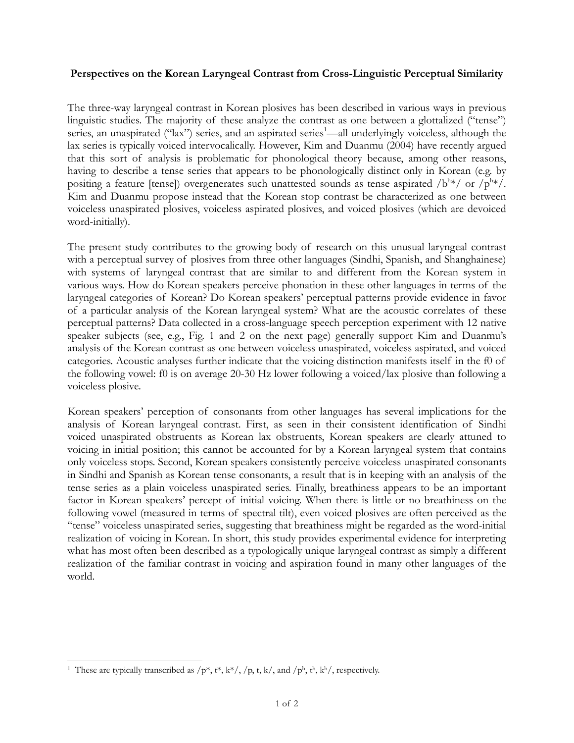## **Perspectives on the Korean Laryngeal Contrast from Cross-Linguistic Perceptual Similarity**

The three-way laryngeal contrast in Korean plosives has been described in various ways in previous linguistic studies. The majority of these analyze the contrast as one between a glottalized ("tense") series, an unaspirated ("lax") series, and an aspirated series<sup>1</sup>—all underlyingly voiceless, although the lax series is typically voiced intervocalically. However, Kim and Duanmu (2004) have recently argued that this sort of analysis is problematic for phonological theory because, among other reasons, having to describe a tense series that appears to be phonologically distinct only in Korean (e.g. by positing a feature [tense]) overgenerates such unattested sounds as tense aspirated /b<sup>h\*</sup>/ or /p<sup>h\*</sup>/. Kim and Duanmu propose instead that the Korean stop contrast be characterized as one between voiceless unaspirated plosives, voiceless aspirated plosives, and voiced plosives (which are devoiced word-initially).

The present study contributes to the growing body of research on this unusual laryngeal contrast with a perceptual survey of plosives from three other languages (Sindhi, Spanish, and Shanghainese) with systems of laryngeal contrast that are similar to and different from the Korean system in various ways. How do Korean speakers perceive phonation in these other languages in terms of the laryngeal categories of Korean? Do Korean speakers' perceptual patterns provide evidence in favor of a particular analysis of the Korean laryngeal system? What are the acoustic correlates of these perceptual patterns? Data collected in a cross-language speech perception experiment with 12 native speaker subjects (see, e.g., Fig. 1 and 2 on the next page) generally support Kim and Duanmu's analysis of the Korean contrast as one between voiceless unaspirated, voiceless aspirated, and voiced categories. Acoustic analyses further indicate that the voicing distinction manifests itself in the f0 of the following vowel: f0 is on average 20-30 Hz lower following a voiced/lax plosive than following a voiceless plosive.

Korean speakers' perception of consonants from other languages has several implications for the analysis of Korean laryngeal contrast. First, as seen in their consistent identification of Sindhi voiced unaspirated obstruents as Korean lax obstruents, Korean speakers are clearly attuned to voicing in initial position; this cannot be accounted for by a Korean laryngeal system that contains only voiceless stops. Second, Korean speakers consistently perceive voiceless unaspirated consonants in Sindhi and Spanish as Korean tense consonants, a result that is in keeping with an analysis of the tense series as a plain voiceless unaspirated series. Finally, breathiness appears to be an important factor in Korean speakers' percept of initial voicing. When there is little or no breathiness on the following vowel (measured in terms of spectral tilt), even voiced plosives are often perceived as the "tense" voiceless unaspirated series, suggesting that breathiness might be regarded as the word-initial realization of voicing in Korean. In short, this study provides experimental evidence for interpreting what has most often been described as a typologically unique laryngeal contrast as simply a different realization of the familiar contrast in voicing and aspiration found in many other languages of the world.

l

<sup>&</sup>lt;sup>1</sup> These are typically transcribed as  $/p^*, t^*, k^*/, /p, t, k/$ , and  $/p^h, t^h, k^h/$ , respectively.